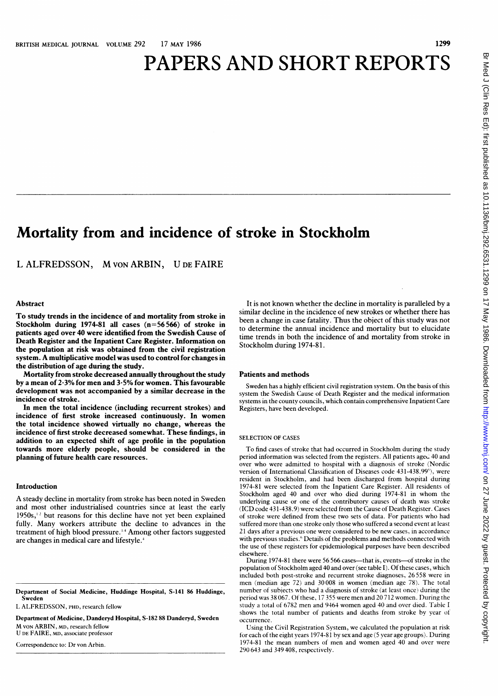# PAPERS AND SHORT REPORTS

## Mortality from and incidence of stroke in Stockholm

<sup>L</sup> ALFREDSSON, M VON ARBIN, U DE FAIRE

#### Abstract

To study trends in the incidence of and mortality from stroke in Stockholm during 1974-81 all cases (n=56566) of stroke in patients aged over 40 were identified from the Swedish Cause of Death Register and the Inpatient Care Register. Information on the population at risk was obtained from the civil registration system. A multiplicative model was used to control for changes in the distribution of age during the study.

Mortality from stroke decreased annually throughout the study by a mean of 2-3% for men and 3 5% for women. This favourable development was not accompanied by a similar decrease in the incidence of stroke.

In men the total incidence (including recurrent strokes) and incidence of first stroke increased continuously. In women the total incidence showed virtually no change, whereas the incidence of first stroke decreased somewhat. These findings, in addition to an expected shift of age profile in the population towards more elderly people, should be considered in the planning of future health care resources.

#### Introduction

A steady decline in mortality from stroke has been noted in Sweden and most other industrialised countries since at least the early  $1950s$ ,<sup>12</sup> but reasons for this decline have not yet been explained fully. Many workers attribute the decline to advances in the treatment of high blood pressure. 1-4 Among other factors suggested are changes in medical care and lifestyle.<sup>4</sup>

Department of Social Medicine, Huddinge Hospital, S-141 86 Huddinge, Sweden

L ALFREDSSON, PHD, research fellow

Department of Medicine, Danderyd Hospital, S-182 88 Danderyd, Sweden M VON ARBIN, MD, research fellow U DE FAIRE, MD, associate professor

Correspondence to: Dr von Arbin.

It is not known whether the decline in mortality is paralleled by a similar decline in the incidence of new strokes or whether there has been a change in case fatality. Thus the object of this study was not to determine the annual incidence and mortality but to elucidate time trends in both the incidence of and mortality from stroke in Stockholm during 1974-81.

#### Patients and methods

Sweden has <sup>a</sup> highly efficient civil registration system. On the basis of this system the Swedish Cause of Death Register and the medical information systems in the county councils, which contain comprehensive Inpatient Care Registers, have been developed.

#### SELECTION OF CASES

To find cases of stroke that had occurred in Stockholm during the study period information was selected from the registers. All patients aged 40 and over who were admitted to hospital with <sup>a</sup> diagnosis of stroke (Nordic version of International Classification of Diseases code 431-438.99<sup>5</sup>), were resident in Stockholm, and had been discharged from hospital during 1974-81 were selected from the Inpatient Care Register. All residents of Stockholm aged 40 and over who died during 1974-81 in whom the underlying cause or one of the contributory causes of death was stroke (JCD code 431-438.9) were selected from the Cause of Death Register. Cases of stroke were defined from these two sets of data. For patients who had suffered more than one stroke only those who suffered a second event at least 21 days after <sup>a</sup> previous one were considered to be new cases, in accordance with previous studies.<sup>6</sup> Details of the problems and methods connected with the use of these registers for epidemiological purposes have been described elsewhere.

During 1974-81 there were 56 566 cases—that is, events—of stroke in the population of Stockholm aged 40 and over (see table I). Of these cases, which included both post-stroke and recurrent stroke diagnoses, 26 558 were in men (median age 72) and 30008 in women (median age 78). The total number of subjects who had <sup>a</sup> diagnosis of stroke (at least once) during the period was 38 067. Of these, <sup>17</sup> 355 were men and 20 712 women. During the study <sup>a</sup> total of 6782 men and 9464 women aged 40 and over died. Table <sup>I</sup> shows the total number of patients and deaths from stroke by year of occurrence.

Using the Civil Registration System, we calculated the population at risk for each of the eight years 1974-81 by sex and age (5 year age groups). During 1974-81 the mean numbers of men and women aged 40 and over were 290 643 and 349 408, respectively.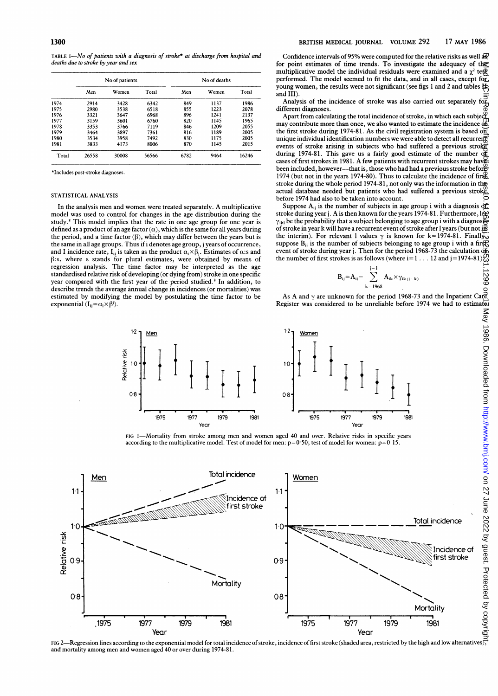TABLE I-No of patients with a diagnosis of stroke\* at discharge from hospital and deaths due to stroke by year and sex

|       | No of patients |       |       |      | No of deaths |       |  |  |
|-------|----------------|-------|-------|------|--------------|-------|--|--|
|       | Men            | Women | Total | Men  | Women        | Total |  |  |
| 1974  | 2914           | 3428  | 6342  | 849  | 1137         | 1986  |  |  |
| 1975  | 2980           | 3538  | 6518  | 855  | 1223         | 2078  |  |  |
| 1976  | 3321           | 3647  | 6968  | 896  | 1241         | 2137  |  |  |
| 1977  | 3159           | 3601  | 6760  | 820  | 1145         | 1965  |  |  |
| 1978  | 3353           | 3766  | 7119  | 846  | 1209         | 2055  |  |  |
| 1979  | 3464           | 3897  | 7361  | 816  | 1189         | 2005  |  |  |
| 1980  | 3534           | 3958  | 7492  | 830  | 1175         | 2005  |  |  |
| 1981  | 3833           | 4173  | 8006  | 870  | 1145         | 2015  |  |  |
| Total | 26558          | 30008 | 56566 | 6782 | 9464         | 16246 |  |  |

\*Includes post-stroke diagnoses.

#### STATISTICAL ANALYSIS

In the analysis men and women were treated separately. A multiplicative model was used to control for changes in the age distribution during the study.' This model implies that the rate in one age group for one year is defined as a product of an age factor  $(\alpha)$ , which is the same for all years during the period, and a time factor  $(\beta)$ , which may differ between the years but is the same in all age groups. Thus if i denotes age group, j years of occurrence, and I incidence rate, I<sub>ii</sub> is taken as the product  $\alpha_i \times \beta_i$ . Estimates of  $\alpha$ :s and  $\beta$ :s, where s stands for plural estimates, were obtained by means of regression analysis. The time factor may be interpreted as the age standardised relative risk of developing (or dying from) stroke in one specific year compared with the first year of the period studied.<sup>8</sup> In addition, to describe trends the average annual change in incidences (or mortalities) was estimated by modifying the model by postulating the time factor to be exponential  $(I_{ij} = \alpha_i \times \beta^j)$ .

Confidence intervals of 95% were computed for the relative risks as well a  $\mathbb{R}^D$ for point estimates of time trends. To investigate the adequacy of the multiplicative model the individual residuals were examined and a  $\chi^2$  te $\overline{\mathfrak{P}}$ performed. The model seemed to fit the data, and in all cases, except for young women, the results were not significant (see figs 1 and 2 and tables  $#$ and III).

Analysis of the incidence of stroke was also carried out separately different diagnoses

Apart from calculating the total incidence of stroke, in which each subject may contribute more than once, we also wanted to estimate the incidence  $\frac{d\mathbf{f}}{d\mathbf{f}}$ the first stroke during 1974-81. As the civil registration system is based on unique individual identification numbers we were able to detect all recurrent events of stroke arising in subjects who had suffered a previous stroked during 1974-81. This gave us a fairly good estimate of the number of during 1974-81. This gave us a fairly good estimate of the number of cases of first strokes in 1981. A few patients with recurrent strokes may have been included, however-that is, those who had had a previous stroke before 1974 (but not in the years 1974-80). Thus to calculate the incidence of first stroke during the whole period 1974-81, not only was the information in the actual database needed but patients who had suffered a previous strok<u>e'</u> before 1974 had also to be taken into account.

Suppose  $A_{ij}$  is the number of subjects in age group i with a diagnosis of stroke during year j. A is then known for the years 1974-81. Furthermore, lex  $\gamma_{ikl}$  be the probability that a subject belonging to age group i with a diagnosis of stroke in year k will have a recurrent event of stroke after I years (but not in the interim). For relevant 1 values  $\gamma$  is known for k=1974-81. Finally, suppose  $B_{ii}$  is the number of subjects belonging to age group i with a first, event of stroke during year j. Then for the period 1968-73 the calculation of the number of first strokes is as follows (where  $i = 1 \ldots 12$  and  $j = 1974-81$ ) $\bigodot$ 

$$
B_{ij} = A_{ij} - \sum_{k=1968}^{j-1} A_{ik} \times \gamma_{ik(j-k)}
$$

As A and  $\gamma$  are unknown for the period 1968-73 and the Inpatient Care Register was considered to be unreliable before 1974 we had to estimate



FIG I-Mortality from stroke among men and women aged 40 and over. Relative risks in specific years according to the multiplicative model. Test of model for men: p=0-SO; test of model for women: p=O 15.



FIG 2—Regression lines according to the exponential model for total incidence of stroke, incidence of first stroke (shaded area, restricted by the high and low alternatives),<br>and mortality among men and women aged 40 or ov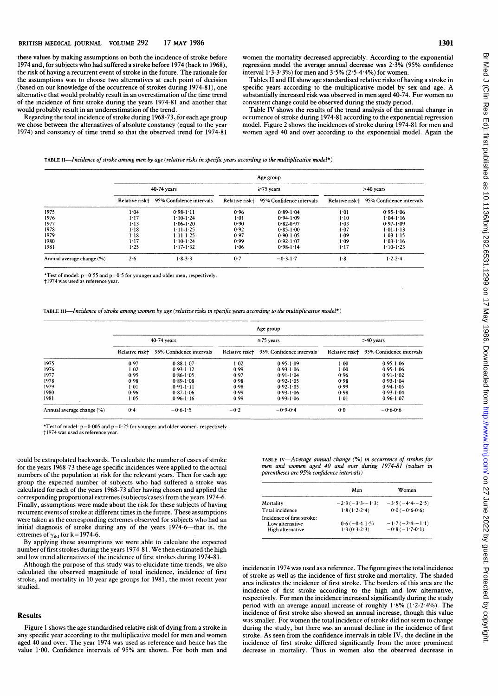1301

these values by making assumptions on both the incidence of stroke before 1974 and, for subjects who had suffered a stroke before 1974 (back to 1968), the risk of having a recurrent event of stroke in the future. The rationale for the assumptions was to choose two alternatives at each point of decision (based on our knowledge of the occurrence of strokes during 1974-81), one alternative that would probably result in an overestimation of the time trend of the incidence of first stroke during the years 1974-81 and another that would probably result in an underestimation of the trend.

Regarding the total incidence of stroke during 1968-73, for each age group we chose between the alternatives of absolute constancy (equal to the year 1974) and constancy of time trend so that the observed trend for 1974-81 women the mortality decreased appreciably. According to the exponential regression model the average annual decrease was 2-3% (95% confidence interval  $1.3 - 3.3$ %) for men and  $3.5%$  ( $2.5 - 4.4%$ ) for women.

Tables II and III show age standardised relative risks of having a stroke in specific years according to the multiplicative model by sex and age. A substantially increased risk was observed in men aged 40-74. For women no consistent change could be observed during the study period.

Table IV shows the results of the trend analysis of the annual change in occurrence of stroke during 1974-81 according to the exponential regression model. Figure <sup>2</sup> shows the incidences of stroke during 1974-81 for men and women aged 40 and over according to the exponential model. Again the

#### TABLE II-Incidence of stroke among men by age (relative risks in specific years according to the multiplicative model\*)

|                           |                |                          |                | Age group                |                |                          |  |
|---------------------------|----------------|--------------------------|----------------|--------------------------|----------------|--------------------------|--|
|                           | 40-74 years    |                          |                | $\geq 75$ years          |                | $>40$ years              |  |
|                           | Relative risk† | 95% Confidence intervals | Relative risk+ | 95% Confidence intervals | Relative risk+ | 95% Confidence intervals |  |
| 1975                      | 1.04           | $0.98 - 1.11$            | 0.96           | $0.89 - 1.04$            | 1.01           | $0.95 - 1.06$            |  |
| 1976                      | $1 - 17$       | $1.10 - 1.24$            | $1-01$         | 0.941.09                 | $1-10$         | $1.04 - 1.16$            |  |
| 1977                      | $1 - 13$       | $1.06 - 1.20$            | 0.90           | $0.82 - 0.97$            | 1.03           | $0.97 - 1.09$            |  |
| 1978                      | $1 - 18$       | $1:11-1:25$              | 0.92           | $0.85 - 1.00$            | 1.07           | $1.01 - 1.13$            |  |
| 1979                      | $1 - 18$       | $1 - 11 - 1 - 25$        | 0.97           | $0.90 - 1.05$            | 1.09           | $1.03 - 1.15$            |  |
| 1980                      | $1 - 17$       | $1 - 10 - 1 - 24$        | 0.99           | $0.92 - 1.07$            | $1 - 09$       | $1.03 - 1.16$            |  |
| 1981                      | $1 - 25$       | $1 - 17 - 1 - 32$        | 1.06           | $0.98 - 1.14$            | $1 - 17$       | $1.10 - 1.23$            |  |
| Annual average change (%) | 2.6            | $1.8 - 3.3$              | 0.7            | $-0.3 - 1.7$             | 1.8            | $1.2 - 2.4$              |  |

\*Test of model:  $p=0.55$  and  $p=0.5$  for younger and older men, respectively.

†1974 was used as reference year.

TABLE III--Incidence of stroke among women by age (relative risks in specific years according to the multiplicative model\*)

|                           | Age group      |                          |                 |                          |                |                          |
|---------------------------|----------------|--------------------------|-----------------|--------------------------|----------------|--------------------------|
|                           | 40-74 years    |                          | $\geq$ 75 years |                          | $>40$ years    |                          |
|                           | Relative risk+ | 95% Confidence intervals | Relative risk+  | 95% Confidence intervals | Relative risk+ | 95% Confidence intervals |
| 1975                      | 0.97           | $0.88 - 1.07$            | 1.02            | $0.95 - 1.09$            | $1-00$         | $0.95 - 1.06$            |
| 1976                      | $1 - 02$       | $0.93 - 1.12$            | 0.99            | $0.93 - 1.06$            | $1 - 00$       | $0.95 - 1.06$            |
| 1977                      | 0.95           | $0.86 - 1.05$            | 0.97            | $0.91 - 1.04$            | 0.96           | $0.91 - 1.02$            |
| 1978                      | 0.98           | $0.89 - 1.08$            | 0.98            | $0.92 - 1.05$            | 0.98           | $0.93 - 1.04$            |
| 1979                      | 1.01           | $0.91 - 1.11$            | 0.98            | $0.92 - 1.05$            | 0.99           | $0.94 - 1.05$            |
| 1980                      | 0.96           | $0.87 - 1.06$            | 0.99            | $0.93 - 1.06$            | 0.98           | $0.93 - 1.04$            |
| 1981                      | 1.05           | $0.96 - 1.16$            | 0.99            | $0.93 - 1.06$            | 1:01           | $0.96 - 1.07$            |
| Annual average change (%) | 0.4            | $-0.6 - 1.5$             | $-0.2$          | $-0.9-0.4$               | 0.0            | $-0.6 - 0.6$             |

\*Test of model:  $p=0.005$  and  $p=0.25$  for younger and older women, respectively.

t 1974 was used as reference year.

could be extrapolated backwards. To calculate the number of cases of stroke for the years 1968-73 these age specific incidences were applied to the actual numbers of the population at risk for the relevant years. Then for each age group the expected number of subjects who had suffered <sup>a</sup> stroke was calculated for each of the years 1968-73 after having chosen and applied the corresponding proportional extremes (subjects/cases) from the years 1974-6. Finally, assumptions were made about the risk for these subjects of having recurrent events of stroke at different times in the future. These assumptions were taken as the corresponding extremes observed for subjects who had an initial diagnosis of stroke during any of the years 1974-6-that is, the extremes of  $\gamma_{ikl}$  for k= 1974-6.

By applying these assumptions we were able to calculate the expected number of first strokes during the years 1974-81. We then estimated the high and low trend alternatives of the incidence of first strokes during 1974-81.

Although the purpose of this study was to elucidate time trends, we also calculated the observed magnitude of total incidence, incidence of first stroke, and mortality in 10 year age groups for 1981, the most recent year studied.

#### Results

Figure <sup>1</sup> shows the age standardised relative risk of dying from <sup>a</sup> stroke in any specific year according to the multiplicative model for men and women aged 40 and over. The year 1974 was used as reference and hence has the value 1.00. Confidence intervals of 95% are shown. For both men and

TABLE IV-Average annual change (%) in occurrence of strokes for men and women aged 40 and over during 1974-81 (values in parentheses are 95% confidence intervals)

|                                                                   | Men                               | Women                                |  |  |
|-------------------------------------------------------------------|-----------------------------------|--------------------------------------|--|--|
| Mortality                                                         | $-2.3(-3.3-1.3)$                  | $-3.5(-4.4-2.5)$                     |  |  |
| Total incidence                                                   | $1.8(1.2-2.4)$                    | $0.0(-0.6-0.6)$                      |  |  |
| Incidence of first stroke:<br>Low alternative<br>High alternative | $0.6(-0.4-1.5)$<br>$1.3(0.3-2.3)$ | $-1.7(-2.4-1.1)$<br>$-0.8(-1.7-0.1)$ |  |  |

incidence in 1974 was used as a reference. The figure gives the total incidence of stroke as well as the incidence of first stroke and mortality. The shaded area indicates the incidence of first stroke. The borders of this area are the incidence of first stroke according to the high and low alternative, respectively. For men the incidence increased significantly during the study period with an average annual increase of roughly 1-8% (1-2-2-4%). The incidence of first stroke also showed an annual increase, though this value was smaller. For women the total incidence of stroke did not seem to change during the study, but there was an annual decline in the incidence of first stroke. As seen from the confidence intervals in table IV, the decline in the incidence of first stroke differed significantly from the more prominent decrease in mortality. Thus in women also the observed decrease in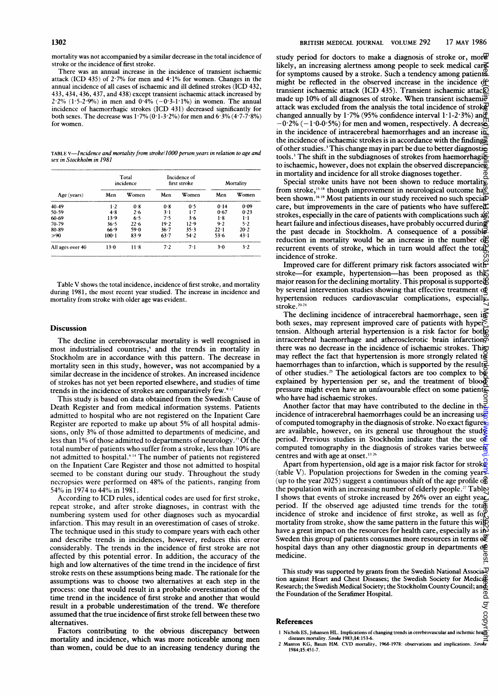mortality was not accompanied by a similar decrease in the total incidence of stroke or the incidence of first stroke.

There was an annual increase in the incidence of transient ischaemic attack (ICD 435) of 2-7% for men and 4 1% for women. Changes in the annual incidence of all cases of ischaemic and ill defined strokes (ICD 432, 433, 434, 436, 437, and 438) except transient ischaemic attack increased by  $2.2\%$  (1.5-2.9%) in men and 0.4% (-0.3-1.1%) in women. The annual incidence of haemorrhagic strokes (ICD 431) decreased significantly for both sexes. The decrease was  $1.7\%$  (0.1-3.2%) for men and  $6.3\%$  (4.7-7.8%) for women.

TABLE V-Incidence and mortality from stroke/1000 person years in relation to age and sex in Stockholm in 1981

|                  | Total<br>incidence |        | Incidence of<br>first stroke |       | Mortality |       |
|------------------|--------------------|--------|------------------------------|-------|-----------|-------|
| Age (years)      | Men                | Women  | Men                          | Women | Men       | Women |
| 40-49            | 1.2                | 0.8    | 0.8                          | 0.5   | 0.14      | 0.09  |
| 50-59            | 4.8                | 2.6    | $3 - 1$                      | 1.7   | 0.67      | 0.23  |
| 60-69            | 13.9               | 6.5    | 7.5                          | 3.6   | 1.8       | $1-1$ |
| 70-79            | 36.5               | 22.6   | 19.2                         | 12.9  | 9.2       | 5.2   |
| 80-89            | 66.9               | 59.0   | $36 - 7$                     | 35.3  | $22 - 1$  | 20.2  |
| $\geq 90$        | $100 - 1$          | 83.9   | 63.7                         | 54.2  | 53.6      | 43.1  |
| All ages over 40 | $13 - 0$           | $11-8$ | $7-2$                        | 7.1   | $3-0$     | 3.2   |

Table V shows the total incidence, incidence of first stroke, and mortality during 1981, the most recent year studied. The increase in incidence and mortality from stroke with older age was evident.

#### **Discussion**

The decline in cerebrovascular mortality is well recognised in most industrialised countries,<sup>4</sup> and the trends in mortality in Stockholm are in accordance with this pattern. The decrease in mortality seen in this study, however, was not accompanied by a similar decrease in the incidence of strokes. An increased incidence of strokes has not yet been reported elsewhere, and studies of time trends in the incidence of strokes are comparatively few.<sup>9-1</sup>

This study is based on data obtained from the Swedish Cause of Death Register and from medical information systems. Patients admitted to hospital who are not registered on the Inpatient Care Register are reported to make up about 5% of all hospital admissions, only 3% of those admitted to departments of medicine, and less than 1% of those admitted to departments of neurology.<sup>13</sup> Of the total number of patients who suffer from a stroke, less than 10% are not admitted to hospital.<sup>614</sup> The number of patients not registered on the Inpatient Care Register and those not admitted to hospital seemed to be constant during our study. Throughout the study necropsies were performed on 48% of the patients, ranging from 54% in 1974 to 44% in 1981.

According to ICD rules, identical codes are used for first stroke, repeat stroke, and after stroke diagnoses, in contrast with the numbering system used for other diagnoses such as myocardial infarction. This may result in an overestimation of cases of stroke. The technique used in this study to compare years with each other and describe trends in incidences, however, reduces this error considerably. The trends in the incidence of first stroke are not affected by this potential error. In addition, the accuracy of the high and low alternatives of the time trend in the incidence of first stroke rests on these assumptions being made. The rationale for the assumptions was to choose two alternatives at each step in the process: one that would result in a probable overestimation of the time trend in the incidence of first stroke and another that would result in <sup>a</sup> probable underestimation of the trend. We therefore assumed that the true incidence of first stroke fell between these two alternatives.

Factors contributing to the obvious discrepancy between mortality and incidence, which was more noticeable among men than women, could be due to an increasing tendency during the study period for doctors to make a diagnosis of stroke or, more likely, an increasing alertness among people to seek medical car $\mathbf{\Xi}$ for symptoms caused by a stroke. Such a tendency among patients might be reflected in the observed increase in the incidence of transient ischaemic attack (ICD 435). Transient ischaemic attack made up 10% of all diagnoses of stroke. When transient ischaemi $\bar{e}$ attack was excluded from the analysis the total incidence of strok $\mathbb{R}$ changed annually by 1.7% (95% confidence interval 1.1-2.3%) and  $-0.2\%$  ( $-1.0$ -0.5%) for men and women, respectively. A decrease in the incidence of intracerebral haemorrhages and an increase in the incidence of ischaemic strokes is in accordance with the findings of other studies.<sup>3</sup> This change may in part be due to better diagnostic tools.<sup>3</sup> The shift in the subdiagnoses of strokes from haemorrhagieto ischaemic, however, does not explain the observed discrepancies in mortality and incidence for all stroke diagnoses together. puda. Ka pageeb Ar Brotected by Group And Jude in Kwa Kapingula Br Med J (Clin Ar Troch) Group (Ar Philip Bright) Br Med Jan Rey) Ar Brand Ti

Special stroke units have not been shown to reduce mortality from stroke,  $15-18$  though improvement in neurological outcome has been shown.<sup>1619</sup> Most patients in our study received no such specia<sup>D</sup> care, but improvements in the care of patients who have suffered: strokes, especially in the care of patients with complications such  $a\hat{g}$ heart failure and infectious diseases, have probably occurred during the past decade in Stockholm. A consequence of <sup>a</sup> possible reduction in mortality would be an increase in the number of recurrent events of stroke, which in turn would affect the total incidence of stroke.

Improved care for different primary risk factors associated with stroke-for example, hypertension-has been proposed as the major reason for the declining mortality. This proposal is supported  $\hat{a}$ by several intervention studies showing that effective treatment  $\omega$ hypertension reduces cardiovascular complications, especially stroke.20-24

The declining incidence of intracerebral haemorrhage, seen in both sexes, may represent improved care of patients with hyper $\leq$ tension. Although arterial hypertension is a risk factor for bother intracerebral haemorrhage and atherosclerotic brain infarction $\widetilde{\varphi}$ there was no decrease in the incidence of ischaemic strokes. This may reflect the fact that hypertension is more strongly related t $g$ haemorrhages than to infarction, which is supported by the results of other studies.<sup>25</sup> The aetiological factors are too complex to be explained by hypertension per se, and the treatment of blood pressure might even have an unfavourable effect on some patients who have had ischaemic strokes.

Another factor that may have contributed to the decline in the incidence of intracerebral haemorrhages could be an increasing use of computed tomography in the diagnosis of stroke. No exact figuress are available, however, on its general use throughout the study period. Previous studies in Stockholm indicate that the use  $\alpha \xi$ computed tomography in the diagnosis of strokes varies between centres and with age at onset.<sup>13 26</sup>

Apart from hypertension, old age is a major risk factor for stroke (table V). Population projections for Sweden in the coming years (up to the year 2025) suggest a continuous shift of the age profile of the population with an increasing number of elderly people.<sup>27</sup> Tables I shows that events of stroke increased by 26% over an eight year period. If the observed age adjusted time trends for the totas incidence of stroke and incidence of first stroke, as well as  $f \circ \mathbb{P}$ mortality from stroke, show the same pattern in the future this will have a great impact on the resources for health care, especially as in Sweden this group of patients consumes more resources in terms  $\alpha \bar{F}$ hospital days than any other diagnostic group in departments of medicine.

This study was supported by grants from the Swedish National Associa<sup>n</sup> tion against Heart and Chest Diseases; the Swedish Society for Medical Research; the Swedish Medical Society; the Stockholm County Council; and the Foundation of the Serafimer Hospital. ö.

#### References

ड् V copy

<sup>1</sup> Nichols ES, Johansen HL. Implications of changing trends in cerebrovascular and ischemic hearth

diseases mortality. Stroke 1983;14:153-6.<br>2 Manton KG, Baum HM. CVD mortality, 1968-1978: observations and implications. Stroke 1984;15:451-7.